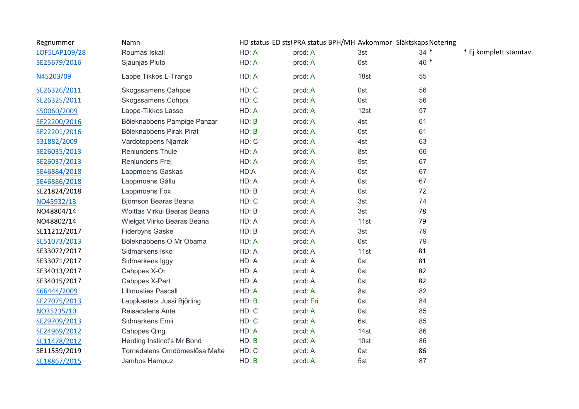| Regnummer     | Namn                          |       | HD status ED stsi PRA status BPH/MH Avkommor Släktskaps Notering |      |        |                       |
|---------------|-------------------------------|-------|------------------------------------------------------------------|------|--------|-----------------------|
| LOF5LAP109/28 | Roumas Iskall                 | HD: A | prcd: A                                                          | 3st  | $34 *$ | * Ej komplett stamtav |
| SE25679/2016  | Sjaunjas Pluto                | HD: A | prcd: A                                                          | 0st  | 46 *   |                       |
| N45203/09     | Lappe Tikkos L-Trango         | HD: A | prcd: A                                                          | 18st | 55     |                       |
| SE26326/2011  | <b>Skogssamens Cahppe</b>     | HD: C | prcd: A                                                          | 0st  | 56     |                       |
| SE26325/2011  | Skogssamens Cohppi            | HD: C | prcd: A                                                          | 0st  | 56     |                       |
| S50060/2009   | Lappe-Tikkos Lasse            | HD: A | prcd: A                                                          | 12st | 57     |                       |
| SE22200/2016  | Böleknabbens Pampige Panzar   | HD: B | prcd: A                                                          | 4st  | 61     |                       |
| SE22201/2016  | Böleknabbens Pirak Pirat      | HD: B | prcd: A                                                          | 0st  | 61     |                       |
| S31882/2009   | Vardotoppens Njarrak          | HD: C | prcd: A                                                          | 4st  | 63     |                       |
| SE26035/2013  | Renlundens Thule              | HD: A | prcd: A                                                          | 8st  | 66     |                       |
| SE26037/2013  | Renlundens Frej               | HD: A | prcd: A                                                          | 9st  | 67     |                       |
| SE46884/2018  | Lappmoens Gaskas              | HD:A  | prcd: A                                                          | 0st  | 67     |                       |
| SE46886/2018  | Lappmoens Gállu               | HD: A | prcd: A                                                          | 0st  | 67     |                       |
| SE21824/2018  | Lappmoens Fox                 | HD: B | prcd: A                                                          | 0st  | 72     |                       |
| NO45932/13    | Björnson Bearas Beana         | HD: C | prcd: A                                                          | 3st  | 74     |                       |
| NO48804/14    | Woittas Virkui Bearas Beana   | HD: B | prcd: A                                                          | 3st  | 78     |                       |
| NO48802/14    | Wielgat Viirko Bearas Beana   | HD: A | prcd: A                                                          | 11st | 79     |                       |
| SE11212/2017  | <b>Fiderbyns Gaske</b>        | HD: B | prcd: A                                                          | 3st  | 79     |                       |
| SE51073/2013  | Böleknabbens O Mr Obama       | HD: A | prcd: A                                                          | 0st  | 79     |                       |
| SE33072/2017  | Sidmarkens Isko               | HD: A | prcd: A                                                          | 11st | 81     |                       |
| SE33071/2017  | Sidmarkens Iggy               | HD: A | prcd: A                                                          | 0st  | 81     |                       |
| SE34013/2017  | Cahppes X-Or                  | HD: A | prcd: A                                                          | 0st  | 82     |                       |
| SE34015/2017  | Cahppes X-Pert                | HD: A | prcd: A                                                          | 0st  | 82     |                       |
| S66444/2009   | <b>Lillmusties Pascall</b>    | HD: A | prcd: A                                                          | 8st  | 82     |                       |
| SE27075/2013  | Lappkastets Jussi Björling    | HD: B | prcd: Fri                                                        | 0st  | 84     |                       |
| NO35235/10    | Reisadalens Ante              | HD: C | prcd: A                                                          | 0st  | 85     |                       |
| SE29709/2013  | Sidmarkens Emii               | HD: C | prcd: A                                                          | 6st  | 85     |                       |
| SE24969/2012  | <b>Cahppes Qing</b>           | HD: A | prcd: A                                                          | 14st | 86     |                       |
| SE11478/2012  | Herding Instinct's Mr Bond    | HD: B | prcd: A                                                          | 10st | 86     |                       |
| SE11559/2019  | Tornedalens Omdömeslösa Malte | HD: C | prcd: A                                                          | 0st  | 86     |                       |
| SE18867/2015  | Jambos Hampuz                 | HD: B | prcd: A                                                          | 5st  | 87     |                       |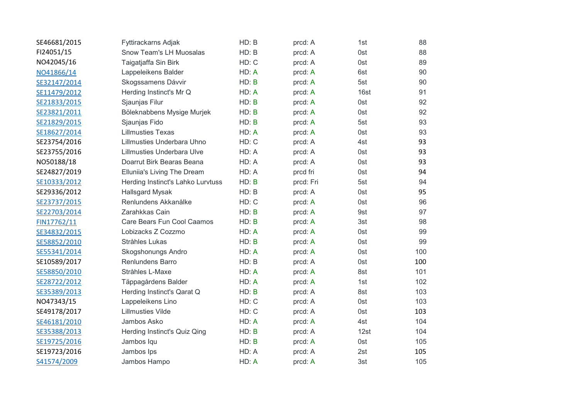| SE46681/2015 | Fyttirackarns Adjak                | HD: B | prcd: A   | 1st  | 88  |
|--------------|------------------------------------|-------|-----------|------|-----|
| FI24051/15   | Snow Team's LH Muosalas            | HD: B | prcd: A   | 0st  | 88  |
| NO42045/16   | Taigatjaffa Sin Birk               | HD: C | prcd: A   | 0st  | 89  |
| NO41866/14   | Lappeleikens Balder                | HD: A | prcd: A   | 6st  | 90  |
| SE32147/2014 | Skogssamens Dávvir                 | HD: B | prcd: A   | 5st  | 90  |
| SE11479/2012 | Herding Instinct's Mr Q            | HD: A | prcd: A   | 16st | 91  |
| SE21833/2015 | Sjaunjas Filur                     | HD: B | prcd: A   | 0st  | 92  |
| SE23821/2011 | Böleknabbens Mysige Murjek         | HD: B | prcd: A   | 0st  | 92  |
| SE21829/2015 | Sjaunjas Fido                      | HD: B | prcd: A   | 5st  | 93  |
| SE18627/2014 | <b>Lillmusties Texas</b>           | HD: A | prcd: A   | 0st  | 93  |
| SE23754/2016 | Lillmusties Underbara Uhno         | HD: C | prcd: A   | 4st  | 93  |
| SE23755/2016 | Lillmusties Underbara Ulve         | HD: A | prcd: A   | 0st  | 93  |
| NO50188/18   | Doarrut Birk Bearas Beana          | HD: A | prcd: A   | 0st  | 93  |
| SE24827/2019 | <b>Elluniia's Living The Dream</b> | HD: A | prcd fri  | 0st  | 94  |
| SE10333/2012 | Herding Instinct's Lahko Lurvtuss  | HD: B | prcd: Fri | 5st  | 94  |
| SE29336/2012 | <b>Hallsgard Mysak</b>             | HD: B | prcd: A   | 0st  | 95  |
| SE23737/2015 | Renlundens Akkanålke               | HD: C | prcd: A   | 0st  | 96  |
| SE22703/2014 | Zarahkkas Cain                     | HD: B | prcd: A   | 9st  | 97  |
| FIN17762/11  | Care Bears Fun Cool Caamos         | HD: B | prcd: A   | 3st  | 98  |
| SE34832/2015 | Lobizacks Z Cozzmo                 | HD: A | prcd: A   | 0st  | 99  |
| SE58852/2010 | Stråhles Lukas                     | HD: B | prcd: A   | 0st  | 99  |
| SE55341/2014 | Skogshonungs Andro                 | HD: A | prcd: A   | 0st  | 100 |
| SE10589/2017 | Renlundens Barro                   | HD: B | prcd: A   | 0st  | 100 |
| SE58850/2010 | Stråhles L-Maxe                    | HD: A | prcd: A   | 8st  | 101 |
| SE28722/2012 | Täppagårdens Balder                | HD: A | prcd: A   | 1st  | 102 |
| SE35389/2013 | Herding Instinct's Qarat Q         | HD: B | prcd: A   | 8st  | 103 |
| NO47343/15   | Lappeleikens Lino                  | HD: C | prcd: A   | 0st  | 103 |
| SE49178/2017 | <b>Lillmusties Vilde</b>           | HD: C | prcd: A   | 0st  | 103 |
| SE46181/2010 | Jambos Asko                        | HD: A | prcd: A   | 4st  | 104 |
| SE35388/2013 | Herding Instinct's Quiz Qing       | HD: B | prcd: A   | 12st | 104 |
| SE19725/2016 | Jambos Iqu                         | HD: B | prcd: A   | 0st  | 105 |
| SE19723/2016 | Jambos Ips                         | HD: A | prcd: A   | 2st  | 105 |
| S41574/2009  | Jambos Hampo                       | HD: A | prcd: A   | 3st  | 105 |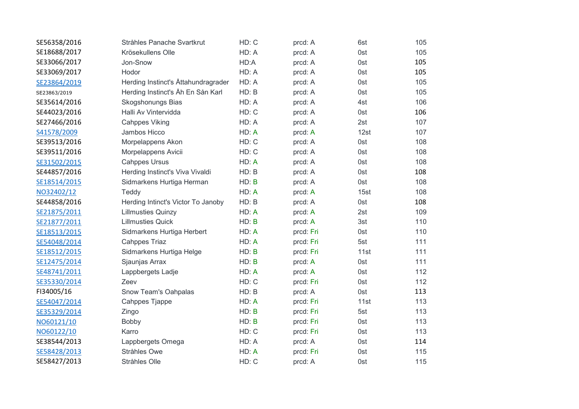| SE56358/2016 | Stråhles Panache Svartkrut          | HD: C | prcd: A   | 6st  | 105 |
|--------------|-------------------------------------|-------|-----------|------|-----|
| SE18688/2017 | Krösekullens Olle                   | HD: A | prcd: A   | 0st  | 105 |
| SE33066/2017 | Jon-Snow                            | HD:A  | prcd: A   | 0st  | 105 |
| SE33069/2017 | Hodor                               | HD: A | prcd: A   | 0st  | 105 |
| SE23864/2019 | Herding Instinct's Åttahundragrader | HD: A | prcd: A   | 0st  | 105 |
|              |                                     |       |           |      |     |
| SE23863/2019 | Herding Instinct's Åh En Sån Karl   | HD: B | prcd: A   | 0st  | 105 |
| SE35614/2016 | Skogshonungs Bias                   | HD: A | prcd: A   | 4st  | 106 |
| SE44023/2016 | Halli Av Vintervidda                | HD: C | prcd: A   | 0st  | 106 |
| SE27466/2016 | <b>Cahppes Viking</b>               | HD: A | prcd: A   | 2st  | 107 |
| S41578/2009  | Jambos Hicco                        | HD: A | prcd: A   | 12st | 107 |
| SE39513/2016 | Morpelappens Akon                   | HD: C | prcd: A   | 0st  | 108 |
| SE39511/2016 | Morpelappens Avicii                 | HD: C | prcd: A   | 0st  | 108 |
| SE31502/2015 | <b>Cahppes Ursus</b>                | HD: A | prcd: A   | 0st  | 108 |
| SE44857/2016 | Herding Instinct's Viva Vivaldi     | HD: B | prcd: A   | 0st  | 108 |
| SE18514/2015 | Sidmarkens Hurtiga Herman           | HD: B | prcd: A   | 0st  | 108 |
| NO32402/12   | Teddy                               | HD: A | prcd: A   | 15st | 108 |
| SE44858/2016 | Herding Intinct's Victor To Janoby  | HD: B | prcd: A   | 0st  | 108 |
| SE21875/2011 | <b>Lillmusties Quinzy</b>           | HD: A | prcd: A   | 2st  | 109 |
| SE21877/2011 | <b>Lillmusties Quick</b>            | HD: B | prcd: A   | 3st  | 110 |
| SE18513/2015 | Sidmarkens Hurtiga Herbert          | HD: A | prcd: Fri | 0st  | 110 |
| SE54048/2014 | <b>Cahppes Triaz</b>                | HD: A | prcd: Fri | 5st  | 111 |
| SE18512/2015 | Sidmarkens Hurtiga Helge            | HD: B | prcd: Fri | 11st | 111 |
| SE12475/2014 | Sjaunjas Arrax                      | HD: B | prcd: A   | 0st  | 111 |
| SE48741/2011 | Lappbergets Ladje                   | HD: A | prcd: A   | 0st  | 112 |
| SE35330/2014 | Zeev                                | HD: C | prcd: Fri | 0st  | 112 |
| FI34005/16   | Snow Team's Oahpalas                | HD: B | prcd: A   | 0st  | 113 |
| SE54047/2014 | Cahppes Tjappe                      | HD: A | prcd: Fri | 11st | 113 |
| SE35329/2014 | Zingo                               | HD: B | prcd: Fri | 5st  | 113 |
| NO60121/10   | Bobby                               | HD: B | prcd: Fri | 0st  | 113 |
| NO60122/10   | Karro                               | HD: C | prcd: Fri | 0st  | 113 |
| SE38544/2013 | Lappbergets Omega                   | HD: A | prcd: A   | 0st  | 114 |
| SE58428/2013 | Stråhles Owe                        | HD: A | prcd: Fri | 0st  | 115 |
| SE58427/2013 | Stråhles Olle                       | HD: C | prcd: A   | 0st  | 115 |
|              |                                     |       |           |      |     |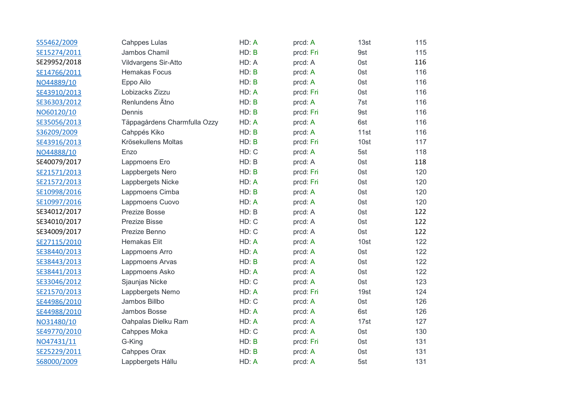| S55462/2009  | <b>Cahppes Lulas</b>         | HD: A | prcd: A   | 13st | 115 |
|--------------|------------------------------|-------|-----------|------|-----|
| SE15274/2011 | Jambos Chamil                | HD: B | prcd: Fri | 9st  | 115 |
| SE29952/2018 | Vildvargens Sir-Atto         | HD: A | prcd: A   | 0st  | 116 |
| SE14766/2011 | <b>Hemakas Focus</b>         | HD: B | prcd: A   | 0st  | 116 |
| NO44889/10   | Eppo Ailo                    | HD: B | prcd: A   | 0st  | 116 |
| SE43910/2013 | Lobizacks Zizzu              | HD: A | prcd: Fri | 0st  | 116 |
| SE36303/2012 | Renlundens Ätno              | HD: B | prcd: A   | 7st  | 116 |
| NO60120/10   | Dennis                       | HD: B | prcd: Fri | 9st  | 116 |
| SE35056/2013 | Täppagårdens Charmfulla Ozzy | HD: A | prcd: A   | 6st  | 116 |
| S36209/2009  | Cahppés Kiko                 | HD: B | prcd: A   | 11st | 116 |
| SE43916/2013 | Krösekullens Moltas          | HD: B | prcd: Fri | 10st | 117 |
| NO44888/10   | Enzo                         | HD: C | prcd: A   | 5st  | 118 |
| SE40079/2017 | Lappmoens Ero                | HD: B | prcd: A   | 0st  | 118 |
| SE21571/2013 | Lappbergets Nero             | HD: B | prcd: Fri | 0st  | 120 |
| SE21572/2013 | Lappbergets Nicke            | HD: A | prcd: Fri | 0st  | 120 |
| SE10998/2016 | Lappmoens Cimba              | HD: B | prcd: A   | 0st  | 120 |
| SE10997/2016 | Lappmoens Cuovo              | HD: A | prcd: A   | 0st  | 120 |
| SE34012/2017 | Prezize Bosse                | HD: B | prcd: A   | 0st  | 122 |
| SE34010/2017 | Prezize Bisse                | HD: C | prcd: A   | 0st  | 122 |
| SE34009/2017 | Prezize Benno                | HD: C | prcd: A   | 0st  | 122 |
| SE27115/2010 | Hemakas Elit                 | HD: A | prcd: A   | 10st | 122 |
| SE38440/2013 | Lappmoens Arro               | HD: A | prcd: A   | 0st  | 122 |
| SE38443/2013 | Lappmoens Arvas              | HD: B | prcd: A   | 0st  | 122 |
| SE38441/2013 | Lappmoens Asko               | HD: A | prcd: A   | 0st  | 122 |
| SE33046/2012 | Sjaunjas Nicke               | HD: C | prcd: A   | 0st  | 123 |
| SE21570/2013 | Lappbergets Nemo             | HD: A | prcd: Fri | 19st | 124 |
| SE44986/2010 | Jambos Billbo                | HD: C | prcd: A   | 0st  | 126 |
| SE44988/2010 | Jambos Bosse                 | HD: A | prcd: A   | 6st  | 126 |
| NO31480/10   | Oahpalas Dielku Ram          | HD: A | prcd: A   | 17st | 127 |
| SE49770/2010 | Cahppes Moka                 | HD: C | prcd: A   | 0st  | 130 |
| NO47431/11   | G-King                       | HD: B | prcd: Fri | 0st  | 131 |
| SE25229/2011 | <b>Cahppes Orax</b>          | HD: B | prcd: A   | 0st  | 131 |
| S68000/2009  | Lappbergets Hállu            | HD: A | prcd: A   | 5st  | 131 |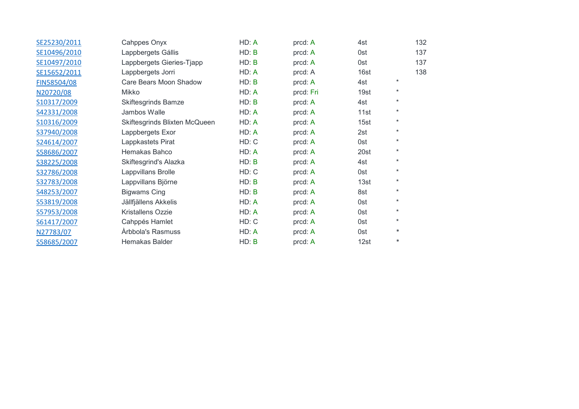| SE25230/2011 | Cahppes Onyx                  | HD: A | prcd: A   | 4st  |         | 132 |  |
|--------------|-------------------------------|-------|-----------|------|---------|-----|--|
| SE10496/2010 | Lappbergets Gállis            | HD: B | prcd: A   | 0st  |         | 137 |  |
| SE10497/2010 | Lappbergets Gieries-Tjapp     | HD: B | prcd: A   | 0st  |         | 137 |  |
| SE15652/2011 | Lappbergets Jorri             | HD: A | prcd: A   | 16st |         | 138 |  |
| FIN58504/08  | Care Bears Moon Shadow        | HD: B | prcd: A   | 4st  | $\star$ |     |  |
| N20720/08    | Mikko                         | HD: A | prcd: Fri | 19st | $\ast$  |     |  |
| S10317/2009  | <b>Skiftesgrinds Bamze</b>    | HD: B | prcd: A   | 4st  | $\ast$  |     |  |
| S42331/2008  | Jambos Walle                  | HD: A | prcd: A   | 11st | $\star$ |     |  |
| S10316/2009  | Skiftesgrinds Blixten McQueen | HD: A | prcd: A   | 15st | $\ast$  |     |  |
| S37940/2008  | Lappbergets Exor              | HD: A | prcd: A   | 2st  | $\ast$  |     |  |
| S24614/2007  | Lappkastets Pirat             | HD: C | prcd: A   | 0st  | $\star$ |     |  |
| S58686/2007  | Hemakas Bahco                 | HD: A | prcd: A   | 20st | $\ast$  |     |  |
| S38225/2008  | Skiftesgrind's Alazka         | HD: B | prcd: A   | 4st  | $\ast$  |     |  |
| S32786/2008  | Lappvillans Brolle            | HD: C | prcd: A   | 0st  | $\ast$  |     |  |
| S32783/2008  | Lappvillans Björne            | HD: B | prcd: A   | 13st | $\ast$  |     |  |
| S48253/2007  | <b>Bigwams Cing</b>           | HD: B | prcd: A   | 8st  | $\ast$  |     |  |
| S53819/2008  | Jällfjällens Akkelis          | HD: A | prcd: A   | 0st  | $\ast$  |     |  |
| S57953/2008  | Kristallens Ozzie             | HD: A | prcd: A   | 0st  | $\ast$  |     |  |
| S61417/2007  | Cahppés Hamlet                | HD: C | prcd: A   | 0st  | $\ast$  |     |  |
| N27783/07    | Arbbola's Rasmuss             | HD: A | prcd: A   | 0st  | $\ast$  |     |  |
| S58685/2007  | Hemakas Balder                | HD: B | prcd: A   | 12st | $\ast$  |     |  |